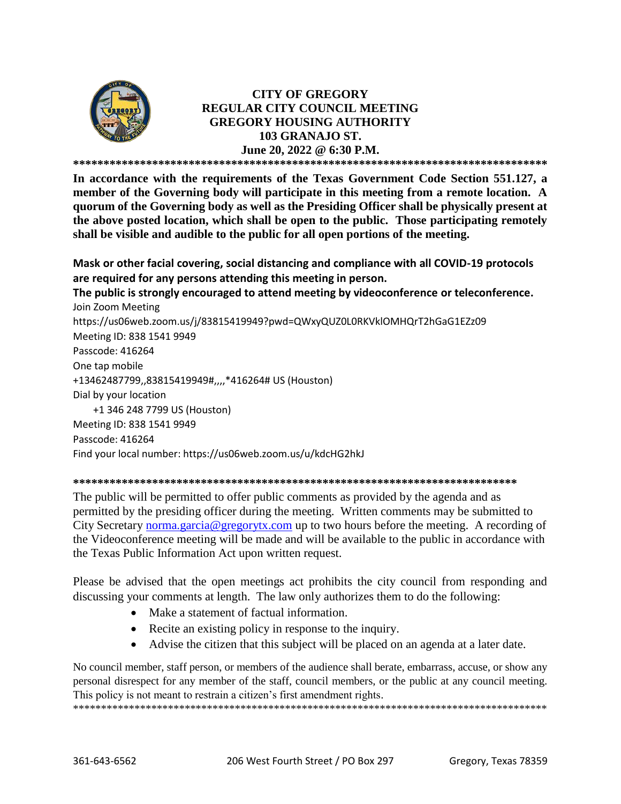

# **CITY OF GREGORY REGULAR CITY COUNCIL MEETING GREGORY HOUSING AUTHORITY 103 GRANAJO ST. June 20, 2022 @ 6:30 P.M.**

**\*\*\*\*\*\*\*\*\*\*\*\*\*\*\*\*\*\*\*\*\*\*\*\*\*\*\*\*\*\*\*\*\*\*\*\*\*\*\*\*\*\*\*\*\*\*\*\*\*\*\*\*\*\*\*\*\*\*\*\*\*\*\*\*\*\*\*\*\*\*\*\*\*\*\*\*\*\***

**In accordance with the requirements of the Texas Government Code Section 551.127, a member of the Governing body will participate in this meeting from a remote location. A quorum of the Governing body as well as the Presiding Officer shall be physically present at the above posted location, which shall be open to the public. Those participating remotely shall be visible and audible to the public for all open portions of the meeting.**

**Mask or other facial covering, social distancing and compliance with all COVID-19 protocols are required for any persons attending this meeting in person.** 

**The public is strongly encouraged to attend meeting by videoconference or teleconference.** Join Zoom Meeting https://us06web.zoom.us/j/83815419949?pwd=QWxyQUZ0L0RKVklOMHQrT2hGaG1EZz09 Meeting ID: 838 1541 9949 Passcode: 416264 One tap mobile +13462487799,,83815419949#,,,,\*416264# US (Houston) Dial by your location +1 346 248 7799 US (Houston) Meeting ID: 838 1541 9949 Passcode: 416264 Find your local number: https://us06web.zoom.us/u/kdcHG2hkJ

#### **\*\*\*\*\*\*\*\*\*\*\*\*\*\*\*\*\*\*\*\*\*\*\*\*\*\*\*\*\*\*\*\*\*\*\*\*\*\*\*\*\*\*\*\*\*\*\*\*\*\*\*\*\*\*\*\*\*\*\*\*\*\*\*\*\*\*\*\*\*\*\*\*\***

The public will be permitted to offer public comments as provided by the agenda and as permitted by the presiding officer during the meeting. Written comments may be submitted to City Secretary [norma.garcia@gregorytx.com](mailto:norma.garcia@gregorytx.com) up to two hours before the meeting. A recording of the Videoconference meeting will be made and will be available to the public in accordance with the Texas Public Information Act upon written request.

Please be advised that the open meetings act prohibits the city council from responding and discussing your comments at length. The law only authorizes them to do the following:

- Make a statement of factual information.
- Recite an existing policy in response to the inquiry.
- Advise the citizen that this subject will be placed on an agenda at a later date.

No council member, staff person, or members of the audience shall berate, embarrass, accuse, or show any personal disrespect for any member of the staff, council members, or the public at any council meeting. This policy is not meant to restrain a citizen's first amendment rights.

\*\*\*\*\*\*\*\*\*\*\*\*\*\*\*\*\*\*\*\*\*\*\*\*\*\*\*\*\*\*\*\*\*\*\*\*\*\*\*\*\*\*\*\*\*\*\*\*\*\*\*\*\*\*\*\*\*\*\*\*\*\*\*\*\*\*\*\*\*\*\*\*\*\*\*\*\*\*\*\*\*\*\*\*\*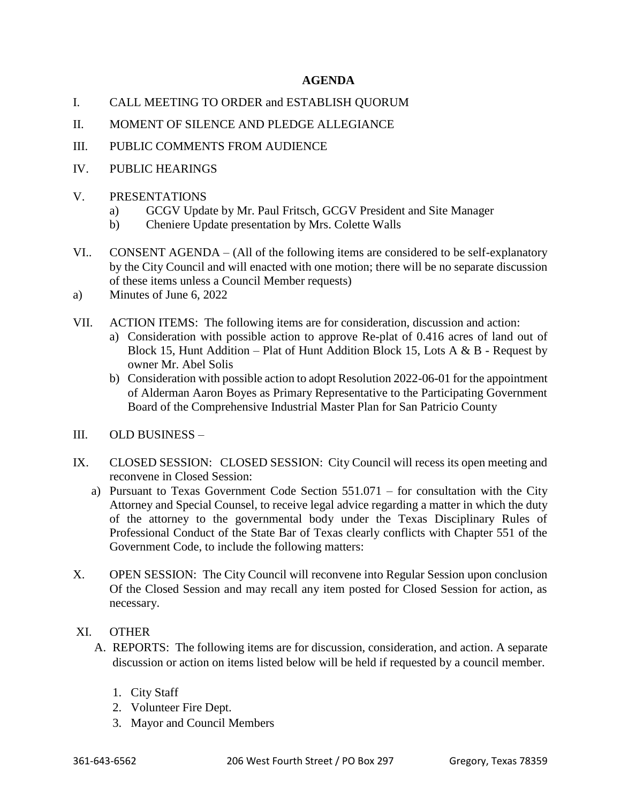# **AGENDA**

- I. CALL MEETING TO ORDER and ESTABLISH QUORUM
- II. MOMENT OF SILENCE AND PLEDGE ALLEGIANCE
- III. PUBLIC COMMENTS FROM AUDIENCE
- IV. PUBLIC HEARINGS
- V. PRESENTATIONS
	- a) GCGV Update by Mr. Paul Fritsch, GCGV President and Site Manager
	- b) Cheniere Update presentation by Mrs. Colette Walls
- VI.. CONSENT AGENDA (All of the following items are considered to be self-explanatory by the City Council and will enacted with one motion; there will be no separate discussion of these items unless a Council Member requests)
- a) Minutes of June 6, 2022
- VII. ACTION ITEMS: The following items are for consideration, discussion and action:
	- a) Consideration with possible action to approve Re-plat of 0.416 acres of land out of Block 15, Hunt Addition – Plat of Hunt Addition Block 15, Lots A  $\&$  B - Request by owner Mr. Abel Solis
	- b) Consideration with possible action to adopt Resolution 2022-06-01 for the appointment of Alderman Aaron Boyes as Primary Representative to the Participating Government Board of the Comprehensive Industrial Master Plan for San Patricio County
- III. OLD BUSINESS –
- IX. CLOSED SESSION: CLOSED SESSION: City Council will recess its open meeting and reconvene in Closed Session:
	- a) Pursuant to Texas Government Code Section 551.071 for consultation with the City Attorney and Special Counsel, to receive legal advice regarding a matter in which the duty of the attorney to the governmental body under the Texas Disciplinary Rules of Professional Conduct of the State Bar of Texas clearly conflicts with Chapter 551 of the Government Code, to include the following matters:
- X. OPEN SESSION: The City Council will reconvene into Regular Session upon conclusion Of the Closed Session and may recall any item posted for Closed Session for action, as necessary.
- XI. OTHER
	- A. REPORTS: The following items are for discussion, consideration, and action. A separate discussion or action on items listed below will be held if requested by a council member.
		- 1. City Staff
		- 2. Volunteer Fire Dept.
		- 3. Mayor and Council Members